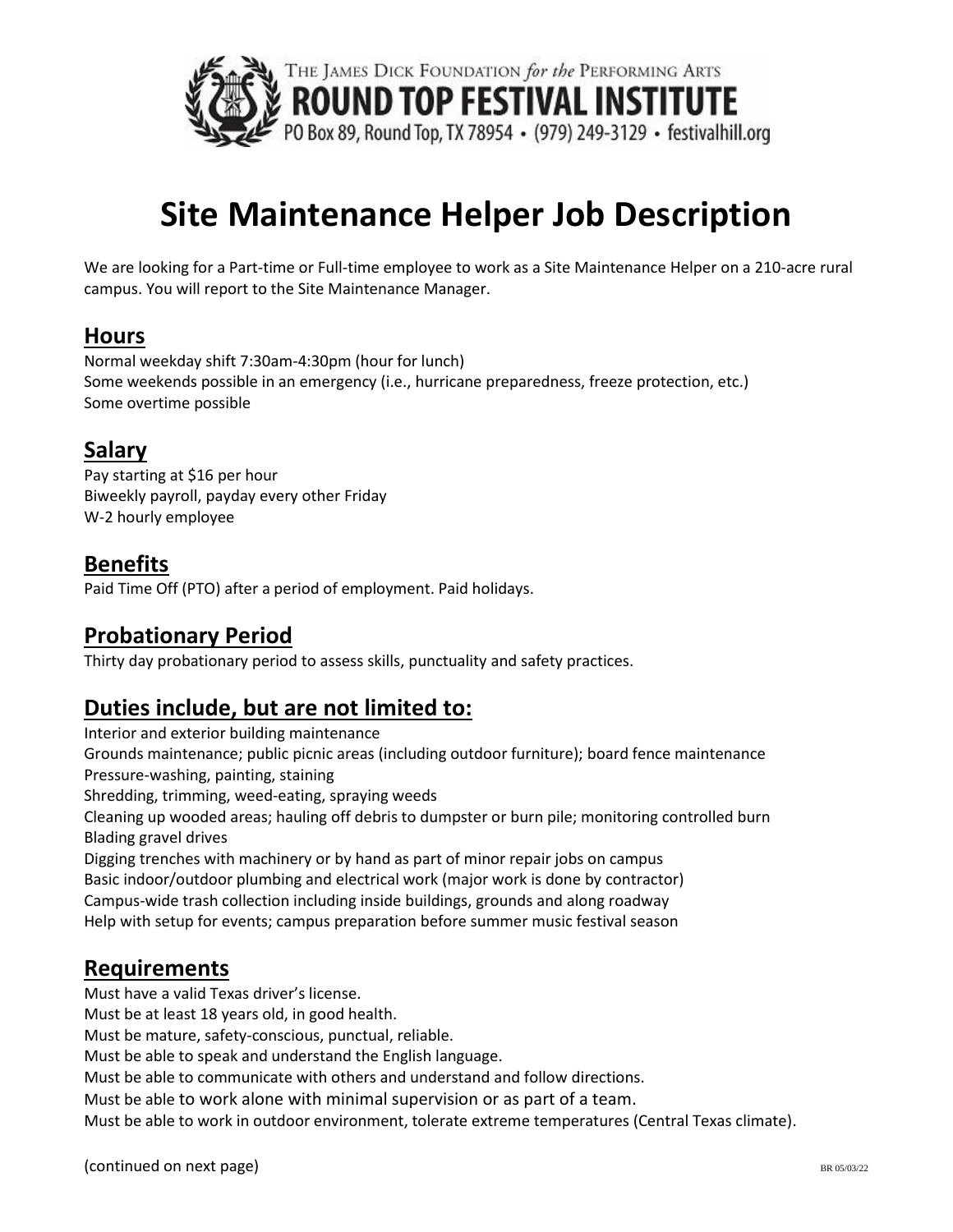

# **Site Maintenance Helper Job Description**

We are looking for a Part-time or Full-time employee to work as a Site Maintenance Helper on a 210-acre rural campus. You will report to the Site Maintenance Manager.

#### **Hours**

Normal weekday shift 7:30am-4:30pm (hour for lunch) Some weekends possible in an emergency (i.e., hurricane preparedness, freeze protection, etc.) Some overtime possible

#### **Salary**

Pay starting at \$16 per hour Biweekly payroll, payday every other Friday W-2 hourly employee

### **Benefits**

Paid Time Off (PTO) after a period of employment. Paid holidays.

#### **Probationary Period**

Thirty day probationary period to assess skills, punctuality and safety practices.

#### **Duties include, but are not limited to:**

Interior and exterior building maintenance Grounds maintenance; public picnic areas (including outdoor furniture); board fence maintenance Pressure-washing, painting, staining Shredding, trimming, weed-eating, spraying weeds Cleaning up wooded areas; hauling off debris to dumpster or burn pile; monitoring controlled burn Blading gravel drives Digging trenches with machinery or by hand as part of minor repair jobs on campus Basic indoor/outdoor plumbing and electrical work (major work is done by contractor) Campus-wide trash collection including inside buildings, grounds and along roadway Help with setup for events; campus preparation before summer music festival season

#### **Requirements**

Must have a valid Texas driver's license. Must be at least 18 years old, in good health. Must be mature, safety-conscious, punctual, reliable. Must be able to speak and understand the English language. Must be able to communicate with others and understand and follow directions. Must be able to work alone with minimal supervision or as part of a team.

Must be able to work in outdoor environment, tolerate extreme temperatures (Central Texas climate).